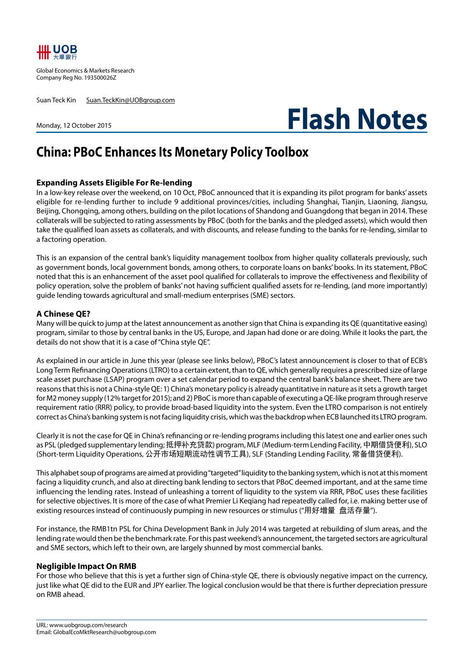

Global Economics & Markets Research Company Reg No. 193500026Z

Suan Teck Kin Suan.TeckKin@UOBgroup.com

Monday, 12 October 2015

# **Flash Notes**

# **China: PBoC Enhances Its Monetary Policy Toolbox**

## **Expanding Assets Eligible For Re-lending**

In a low-key release over the weekend, on 10 Oct, PBoC announced that it is expanding its pilot program for banks' assets eligible for re-lending further to include 9 additional provinces/cities, including Shanghai, Tianjin, Liaoning, Jiangsu, Beijing, Chongqing, among others, building on the pilot locations of Shandong and Guangdong that began in 2014. These collaterals will be subjected to rating assessments by PBoC (both for the banks and the pledged assets), which would then take the qualified loan assets as collaterals, and with discounts, and release funding to the banks for re-lending, similar to a factoring operation.

This is an expansion of the central bank's liquidity management toolbox from higher quality collaterals previously, such as government bonds, local government bonds, among others, to corporate loans on banks' books. In its statement, PBoC noted that this is an enhancement of the asset pool qualified for collaterals to improve the effectiveness and flexibility of policy operation, solve the problem of banks' not having sufficient qualified assets for re-lending, (and more importantly) guide lending towards agricultural and small-medium enterprises (SME) sectors.

### **A Chinese QE?**

Many will be quick to jump at the latest announcement as another sign that China is expanding its QE (quantitative easing) program, similar to those by central banks in the US, Europe, and Japan had done or are doing. While it looks the part, the details do not show that it is a case of "China style QE".

As explained in our article in June this year (please see links below), PBoC's latest announcement is closer to that of ECB's Long Term Refinancing Operations (LTRO) to a certain extent, than to QE, which generally requires a prescribed size of large scale asset purchase (LSAP) program over a set calendar period to expand the central bank's balance sheet. There are two reasons that this is not a China-style QE: 1) China's monetary policy is already quantitative in nature as it sets a growth target for M2 money supply (12% target for 2015); and 2) PBoC is more than capable of executing a QE-like program through reserve requirement ratio (RRR) policy, to provide broad-based liquidity into the system. Even the LTRO comparison is not entirely correct as China's banking system is not facing liquidity crisis, which was the backdrop when ECB launched its LTRO program.

Clearly it is not the case for QE in China's refinancing or re-lending programs including this latest one and earlier ones such as PSL (pledged supplementary lending; 抵押补充贷款) program, MLF (Medium-term Lending Facility, 中期借贷便利), SLO (Short-term Liquidity Operations, 公开市场短期流动性调节工具), SLF (Standing Lending Facility, 常备借贷便利).

This alphabet soup of programs are aimed at providing "targeted" liquidity to the banking system, which is not at this moment facing a liquidity crunch, and also at directing bank lending to sectors that PBoC deemed important, and at the same time influencing the lending rates. Instead of unleashing a torrent of liquidity to the system via RRR, PBoC uses these facilities for selective objectives. It is more of the case of what Premier Li Keqiang had repeatedly called for, i.e. making better use of existing resources instead of continuously pumping in new resources or stimulus ("用好增量 盘活存量").

For instance, the RMB1tn PSL for China Development Bank in July 2014 was targeted at rebuilding of slum areas, and the lending rate would then be the benchmark rate. For this past weekend's announcement, the targeted sectors are agricultural and SME sectors, which left to their own, are largely shunned by most commercial banks.

### **Negligible Impact On RMB**

For those who believe that this is yet a further sign of China-style QE, there is obviously negative impact on the currency, just like what QE did to the EUR and JPY earlier. The logical conclusion would be that there is further depreciation pressure on RMB ahead.